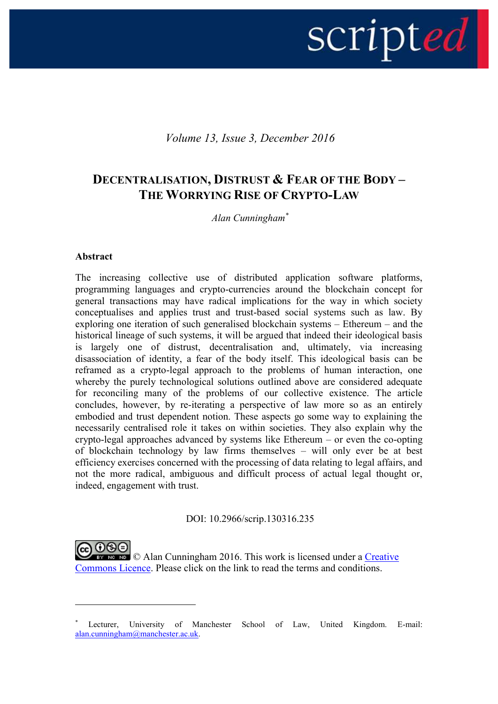# scripted

*Volume 13, Issue 3, December 2016*

# **DECENTRALISATION, DISTRUST & FEAR OF THE BODY – THE WORRYING RISE OF CRYPTO-LAW**

*Alan Cunningham\**

#### **Abstract**

1

The increasing collective use of distributed application software platforms, programming languages and crypto-currencies around the blockchain concept for general transactions may have radical implications for the way in which society conceptualises and applies trust and trust-based social systems such as law. By exploring one iteration of such generalised blockchain systems – Ethereum – and the historical lineage of such systems, it will be argued that indeed their ideological basis is largely one of distrust, decentralisation and, ultimately, via increasing disassociation of identity, a fear of the body itself. This ideological basis can be reframed as a crypto-legal approach to the problems of human interaction, one whereby the purely technological solutions outlined above are considered adequate for reconciling many of the problems of our collective existence. The article concludes, however, by re-iterating a perspective of law more so as an entirely embodied and trust dependent notion. These aspects go some way to explaining the necessarily centralised role it takes on within societies. They also explain why the crypto-legal approaches advanced by systems like Ethereum – or even the co-opting of blockchain technology by law firms themselves – will only ever be at best efficiency exercises concerned with the processing of data relating to legal affairs, and not the more radical, ambiguous and difficult process of actual legal thought or, indeed, engagement with trust.

DOI: 10.2966/scrip.130316.235

**ND**  $\odot$  Alan Cunningham 2016. This work is licensed under a Creative [Commons Licence.](http://creativecommons.org/licenses/by-nc-nd/2.5/scotland/) Please click on the link to read the terms and conditions.

Lecturer, University of Manchester School of Law, United Kingdom. E-mail: [alan.cunningham@manchester.ac.uk.](mailto:alan.cunningham@manchester.ac.uk)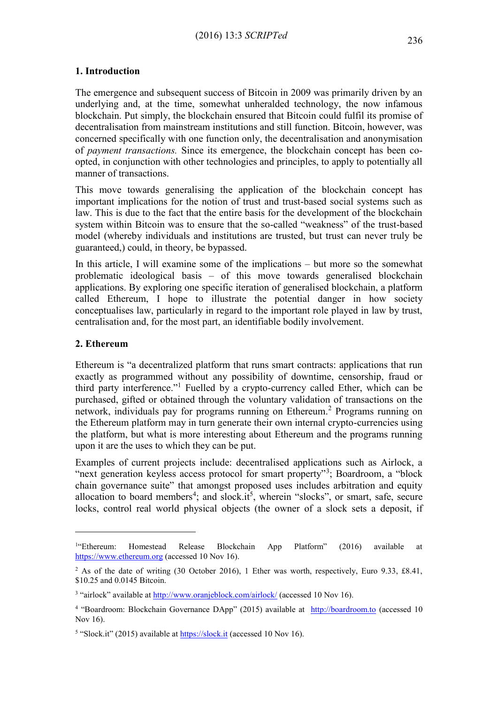## **1. Introduction**

The emergence and subsequent success of Bitcoin in 2009 was primarily driven by an underlying and, at the time, somewhat unheralded technology, the now infamous blockchain. Put simply, the blockchain ensured that Bitcoin could fulfil its promise of decentralisation from mainstream institutions and still function. Bitcoin, however, was concerned specifically with one function only, the decentralisation and anonymisation of *payment transactions.* Since its emergence, the blockchain concept has been coopted, in conjunction with other technologies and principles, to apply to potentially all manner of transactions.

This move towards generalising the application of the blockchain concept has important implications for the notion of trust and trust-based social systems such as law. This is due to the fact that the entire basis for the development of the blockchain system within Bitcoin was to ensure that the so-called "weakness" of the trust-based model (whereby individuals and institutions are trusted, but trust can never truly be guaranteed,) could, in theory, be bypassed.

In this article, I will examine some of the implications – but more so the somewhat problematic ideological basis – of this move towards generalised blockchain applications. By exploring one specific iteration of generalised blockchain, a platform called Ethereum, I hope to illustrate the potential danger in how society conceptualises law, particularly in regard to the important role played in law by trust, centralisation and, for the most part, an identifiable bodily involvement.

## **2. Ethereum**

1

Ethereum is "a decentralized platform that runs smart contracts: applications that run exactly as programmed without any possibility of downtime, censorship, fraud or third party interference."<sup>1</sup> Fuelled by a crypto-currency called Ether, which can be purchased, gifted or obtained through the voluntary validation of transactions on the network, individuals pay for programs running on Ethereum.<sup>2</sup> Programs running on the Ethereum platform may in turn generate their own internal crypto-currencies using the platform, but what is more interesting about Ethereum and the programs running upon it are the uses to which they can be put.

Examples of current projects include: decentralised applications such as Airlock, a "next generation keyless access protocol for smart property"<sup>3</sup>; Boardroom, a "block chain governance suite" that amongst proposed uses includes arbitration and equity allocation to board members<sup>4</sup>; and slock.it<sup>5</sup>, wherein "slocks", or smart, safe, secure locks, control real world physical objects (the owner of a slock sets a deposit, if

 $1.4$ Ethereum: "Ethereum: Homestead Release Blockchain App Platform" (2016) available at [https://www.ethereum.org](https://www.ethereum.org/) (accessed 10 Nov 16).

<sup>&</sup>lt;sup>2</sup> As of the date of writing (30 October 2016), 1 Ether was worth, respectively, Euro 9.33, £8.41, \$10.25 and 0.0145 Bitcoin.

<sup>&</sup>lt;sup>3</sup> "airlock" available at <http://www.oranjeblock.com/airlock/> (accessed 10 Nov 16).

<sup>&</sup>lt;sup>4</sup> "Boardroom: Blockchain Governance DApp" (2015) available at [http://boardroom.to](http://boardroom.to/) (accessed 10 Nov 16).

<sup>&</sup>lt;sup>5</sup> "Slock.it" (2015) available at **[https://slock.it](https://slock.it/)** (accessed 10 Nov 16).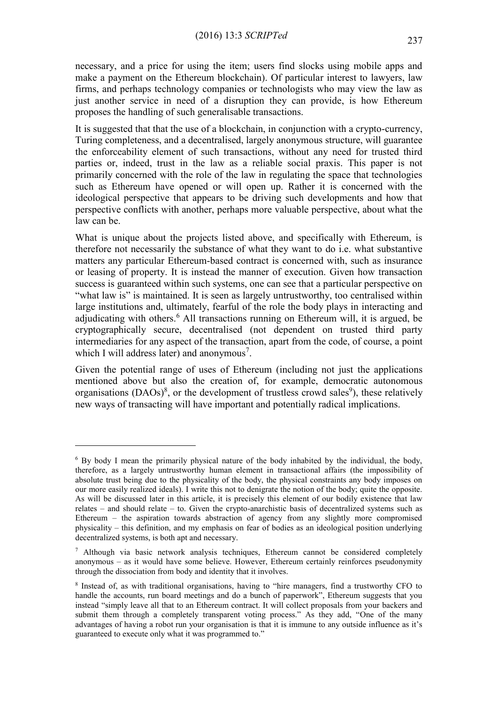necessary, and a price for using the item; users find slocks using mobile apps and make a payment on the Ethereum blockchain). Of particular interest to lawyers, law firms, and perhaps technology companies or technologists who may view the law as just another service in need of a disruption they can provide, is how Ethereum proposes the handling of such generalisable transactions.

It is suggested that that the use of a blockchain, in conjunction with a crypto-currency, Turing completeness, and a decentralised, largely anonymous structure, will guarantee the enforceability element of such transactions, without any need for trusted third parties or, indeed, trust in the law as a reliable social praxis. This paper is not primarily concerned with the role of the law in regulating the space that technologies such as Ethereum have opened or will open up. Rather it is concerned with the ideological perspective that appears to be driving such developments and how that perspective conflicts with another, perhaps more valuable perspective, about what the law can be.

What is unique about the projects listed above, and specifically with Ethereum, is therefore not necessarily the substance of what they want to do i.e. what substantive matters any particular Ethereum-based contract is concerned with, such as insurance or leasing of property. It is instead the manner of execution. Given how transaction success is guaranteed within such systems, one can see that a particular perspective on "what law is" is maintained. It is seen as largely untrustworthy, too centralised within large institutions and, ultimately, fearful of the role the body plays in interacting and adjudicating with others.<sup>6</sup> All transactions running on Ethereum will, it is argued, be cryptographically secure, decentralised (not dependent on trusted third party intermediaries for any aspect of the transaction, apart from the code, of course, a point which I will address later) and anonymous<sup>7</sup>.

Given the potential range of uses of Ethereum (including not just the applications mentioned above but also the creation of, for example, democratic autonomous organisations  $(DAOs)^8$ , or the development of trustless crowd sales<sup>9</sup>), these relatively new ways of transacting will have important and potentially radical implications.

<sup>6</sup> By body I mean the primarily physical nature of the body inhabited by the individual, the body, therefore, as a largely untrustworthy human element in transactional affairs (the impossibility of absolute trust being due to the physicality of the body, the physical constraints any body imposes on our more easily realized ideals). I write this not to denigrate the notion of the body; quite the opposite. As will be discussed later in this article, it is precisely this element of our bodily existence that law relates – and should relate – to. Given the crypto-anarchistic basis of decentralized systems such as Ethereum – the aspiration towards abstraction of agency from any slightly more compromised physicality – this definition, and my emphasis on fear of bodies as an ideological position underlying decentralized systems, is both apt and necessary.

 $\frac{7}{7}$  Although via basic network analysis techniques, Ethereum cannot be considered completely anonymous – as it would have some believe. However, Ethereum certainly reinforces pseudonymity through the dissociation from body and identity that it involves.

<sup>8</sup> Instead of, as with traditional organisations, having to "hire managers, find a trustworthy CFO to handle the accounts, run board meetings and do a bunch of paperwork", Ethereum suggests that you instead "simply leave all that to an Ethereum contract. It will collect proposals from your backers and submit them through a completely transparent voting process." As they add, "One of the many advantages of having a robot run your organisation is that it is immune to any outside influence as it's guaranteed to execute only what it was programmed to."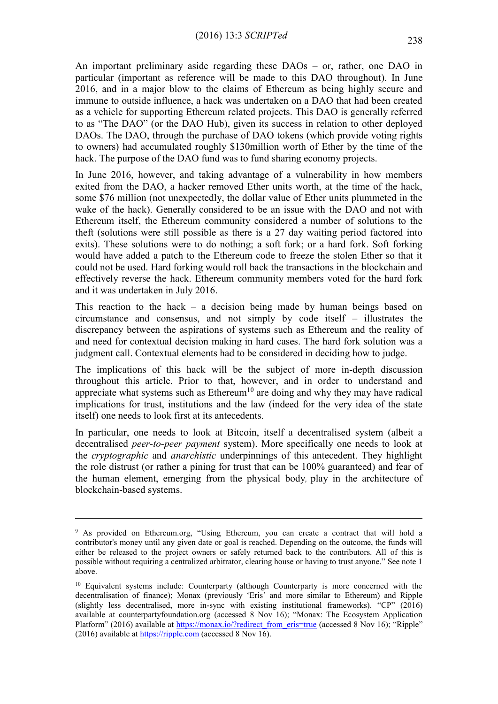An important preliminary aside regarding these DAOs – or, rather, one DAO in particular (important as reference will be made to this DAO throughout). In June 2016, and in a major blow to the claims of Ethereum as being highly secure and immune to outside influence, a hack was undertaken on a DAO that had been created as a vehicle for supporting Ethereum related projects. This DAO is generally referred to as "The DAO" (or the DAO Hub), given its success in relation to other deployed DAOs. The DAO, through the purchase of DAO tokens (which provide voting rights to owners) had accumulated roughly \$130million worth of Ether by the time of the hack. The purpose of the DAO fund was to fund sharing economy projects.

In June 2016, however, and taking advantage of a vulnerability in how members exited from the DAO, a hacker removed Ether units worth, at the time of the hack, some \$76 million (not unexpectedly, the dollar value of Ether units plummeted in the wake of the hack). Generally considered to be an issue with the DAO and not with Ethereum itself, the Ethereum community considered a number of solutions to the theft (solutions were still possible as there is a 27 day waiting period factored into exits). These solutions were to do nothing; a soft fork; or a hard fork. Soft forking would have added a patch to the Ethereum code to freeze the stolen Ether so that it could not be used. Hard forking would roll back the transactions in the blockchain and effectively reverse the hack. Ethereum community members voted for the hard fork and it was undertaken in July 2016.

This reaction to the hack – a decision being made by human beings based on circumstance and consensus, and not simply by code itself – illustrates the discrepancy between the aspirations of systems such as Ethereum and the reality of and need for contextual decision making in hard cases. The hard fork solution was a judgment call. Contextual elements had to be considered in deciding how to judge.

The implications of this hack will be the subject of more in-depth discussion throughout this article. Prior to that, however, and in order to understand and appreciate what systems such as  $E$ thereum<sup>10</sup> are doing and why they may have radical implications for trust, institutions and the law (indeed for the very idea of the state itself) one needs to look first at its antecedents.

In particular, one needs to look at Bitcoin, itself a decentralised system (albeit a decentralised *peer-to-peer payment* system). More specifically one needs to look at the *cryptographic* and *anarchistic* underpinnings of this antecedent. They highlight the role distrust (or rather a pining for trust that can be 100% guaranteed) and fear of the human element, emerging from the physical body, play in the architecture of blockchain-based systems.

<sup>9</sup> As provided on Ethereum.org, "Using Ethereum, you can create a contract that will hold a contributor's money until any given date or goal is reached. Depending on the outcome, the funds will either be released to the project owners or safely returned back to the contributors. All of this is possible without requiring a centralized arbitrator, clearing house or having to trust anyone." See note 1 above.

<sup>&</sup>lt;sup>10</sup> Equivalent systems include: Counterparty (although Counterparty is more concerned with the decentralisation of finance); Monax (previously 'Eris' and more similar to Ethereum) and Ripple (slightly less decentralised, more in-sync with existing institutional frameworks). "CP" (2016) available at counterpartyfoundation.org (accessed 8 Nov 16); "Monax: The Ecosystem Application Platform" (2016) available at [https://monax.io/?redirect\\_from\\_eris=true](https://monax.io/?redirect_from_eris=true) (accessed 8 Nov 16); "Ripple" (2016) available at [https://ripple.com](https://ripple.com/) (accessed 8 Nov 16).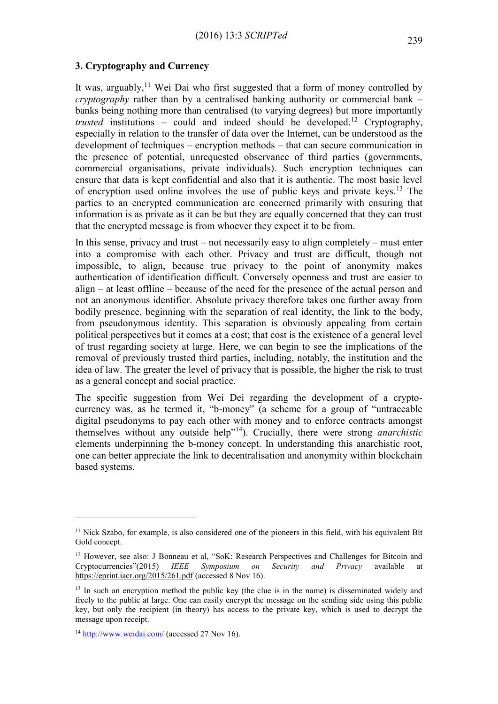#### **3. Cryptography and Currency**

It was, arguably,<sup>11</sup> Wei Dai who first suggested that a form of money controlled by *cryptography* rather than by a centralised banking authority or commercial bank – banks being nothing more than centralised (to varying degrees) but more importantly *trusted* institutions – could and indeed should be developed.<sup>12</sup> Cryptography, especially in relation to the transfer of data over the Internet, can be understood as the development of techniques – encryption methods – that can secure communication in the presence of potential, unrequested observance of third parties (governments, commercial organisations, private individuals). Such encryption techniques can ensure that data is kept confidential and also that it is authentic. The most basic level of encryption used online involves the use of public keys and private keys.<sup>13</sup> The parties to an encrypted communication are concerned primarily with ensuring that information is as private as it can be but they are equally concerned that they can trust that the encrypted message is from whoever they expect it to be from.

In this sense, privacy and trust – not necessarily easy to align completely – must enter into a compromise with each other. Privacy and trust are difficult, though not impossible, to align, because true privacy to the point of anonymity makes authentication of identification difficult. Conversely openness and trust are easier to align – at least offline – because of the need for the presence of the actual person and not an anonymous identifier. Absolute privacy therefore takes one further away from bodily presence, beginning with the separation of real identity, the link to the body, from pseudonymous identity. This separation is obviously appealing from certain political perspectives but it comes at a cost; that cost is the existence of a general level of trust regarding society at large. Here, we can begin to see the implications of the removal of previously trusted third parties, including, notably, the institution and the idea of law. The greater the level of privacy that is possible, the higher the risk to trust as a general concept and social practice.

The specific suggestion from Wei Dei regarding the development of a cryptocurrency was, as he termed it, "b-money" (a scheme for a group of "untraceable digital pseudonyms to pay each other with money and to enforce contracts amongst themselves without any outside help"<sup>14</sup>). Crucially, there were strong *anarchistic* elements underpinning the b-money concept. In understanding this anarchistic root, one can better appreciate the link to decentralisation and anonymity within blockchain based systems.

<sup>&</sup>lt;sup>11</sup> Nick Szabo, for example, is also considered one of the pioneers in this field, with his equivalent Bit Gold concept.

<sup>&</sup>lt;sup>12</sup> However, see also: J Bonneau et al, "SoK: Research Perspectives and Challenges for Bitcoin and Cryptocurrencies"(2015) *IEEE Symposium on Security and Privacy* available at <https://eprint.iacr.org/2015/261.pdf> (accessed 8 Nov 16).

 $13$  In such an encryption method the public key (the clue is in the name) is disseminated widely and freely to the public at large. One can easily encrypt the message on the sending side using this public key, but only the recipient (in theory) has access to the private key, which is used to decrypt the message upon receipt.

<sup>&</sup>lt;sup>14</sup> <http://www.weidai.com/> (accessed 27 Nov 16).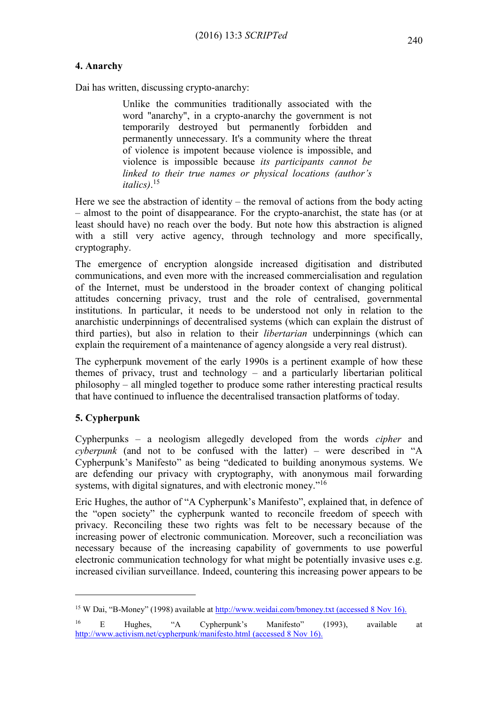# **4. Anarchy**

Dai has written, discussing crypto-anarchy:

Unlike the communities traditionally associated with the word "anarchy", in a crypto-anarchy the government is not temporarily destroyed but permanently forbidden and permanently unnecessary. It's a community where the threat of violence is impotent because violence is impossible, and violence is impossible because *its participants cannot be linked to their true names or physical locations (author's italics)*. 15

Here we see the abstraction of identity – the removal of actions from the body acting – almost to the point of disappearance. For the crypto-anarchist, the state has (or at least should have) no reach over the body. But note how this abstraction is aligned with a still very active agency, through technology and more specifically, cryptography.

The emergence of encryption alongside increased digitisation and distributed communications, and even more with the increased commercialisation and regulation of the Internet, must be understood in the broader context of changing political attitudes concerning privacy, trust and the role of centralised, governmental institutions. In particular, it needs to be understood not only in relation to the anarchistic underpinnings of decentralised systems (which can explain the distrust of third parties), but also in relation to their *libertarian* underpinnings (which can explain the requirement of a maintenance of agency alongside a very real distrust).

The cypherpunk movement of the early 1990s is a pertinent example of how these themes of privacy, trust and technology – and a particularly libertarian political philosophy – all mingled together to produce some rather interesting practical results that have continued to influence the decentralised transaction platforms of today.

# **5. Cypherpunk**

<u>.</u>

Cypherpunks – a neologism allegedly developed from the words *cipher* and *cyberpunk* (and not to be confused with the latter) – were described in "A Cypherpunk's Manifesto" as being "dedicated to building anonymous systems. We are defending our privacy with cryptography, with anonymous mail forwarding systems, with digital signatures, and with electronic money."<sup>16</sup>

Eric Hughes, the author of "A Cypherpunk's Manifesto", explained that, in defence of the "open society" the cypherpunk wanted to reconcile freedom of speech with privacy. Reconciling these two rights was felt to be necessary because of the increasing power of electronic communication. Moreover, such a reconciliation was necessary because of the increasing capability of governments to use powerful electronic communication technology for what might be potentially invasive uses e.g. increased civilian surveillance. Indeed, countering this increasing power appears to be

<sup>15</sup> W Dai, "B-Money" (1998) available at <http://www.weidai.com/bmoney.txt> (accessed 8 Nov 16).

<sup>16</sup> E Hughes, "A Cypherpunk's Manifesto" (1993), available at <http://www.activism.net/cypherpunk/manifesto.html> (accessed 8 Nov 16).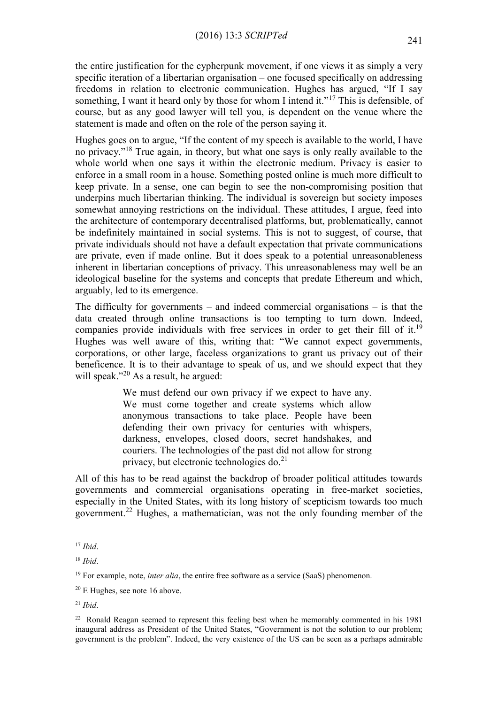the entire justification for the cypherpunk movement, if one views it as simply a very specific iteration of a libertarian organisation – one focused specifically on addressing freedoms in relation to electronic communication. Hughes has argued, "If I say something, I want it heard only by those for whom I intend it."<sup>17</sup> This is defensible, of course, but as any good lawyer will tell you, is dependent on the venue where the statement is made and often on the role of the person saying it.

Hughes goes on to argue, "If the content of my speech is available to the world, I have no privacy."<sup>18</sup> True again, in theory, but what one says is only really available to the whole world when one says it within the electronic medium. Privacy is easier to enforce in a small room in a house. Something posted online is much more difficult to keep private. In a sense, one can begin to see the non-compromising position that underpins much libertarian thinking. The individual is sovereign but society imposes somewhat annoying restrictions on the individual. These attitudes, I argue, feed into the architecture of contemporary decentralised platforms, but, problematically, cannot be indefinitely maintained in social systems. This is not to suggest, of course, that private individuals should not have a default expectation that private communications are private, even if made online. But it does speak to a potential unreasonableness inherent in libertarian conceptions of privacy. This unreasonableness may well be an ideological baseline for the systems and concepts that predate Ethereum and which, arguably, led to its emergence.

The difficulty for governments – and indeed commercial organisations – is that the data created through online transactions is too tempting to turn down. Indeed, companies provide individuals with free services in order to get their fill of it.<sup>19</sup> Hughes was well aware of this, writing that: "We cannot expect governments, corporations, or other large, faceless organizations to grant us privacy out of their beneficence. It is to their advantage to speak of us, and we should expect that they will speak."<sup>20</sup> As a result, he argued:

> We must defend our own privacy if we expect to have any. We must come together and create systems which allow anonymous transactions to take place. People have been defending their own privacy for centuries with whispers, darkness, envelopes, closed doors, secret handshakes, and couriers. The technologies of the past did not allow for strong privacy, but electronic technologies do. $^{21}$

All of this has to be read against the backdrop of broader political attitudes towards governments and commercial organisations operating in free-market societies, especially in the United States, with its long history of scepticism towards too much government.<sup>22</sup> Hughes, a mathematician, was not the only founding member of the

<sup>17</sup> *Ibid*.

<sup>18</sup> *Ibid*.

<sup>&</sup>lt;sup>19</sup> For example, note, *inter alia*, the entire free software as a service (SaaS) phenomenon.

 $20$  E Hughes, see note 16 above.

<sup>21</sup> *Ibid*.

 $22$  Ronald Reagan seemed to represent this feeling best when he memorably commented in his 1981 inaugural address as President of the United States, "Government is not the solution to our problem; government is the problem". Indeed, the very existence of the US can be seen as a perhaps admirable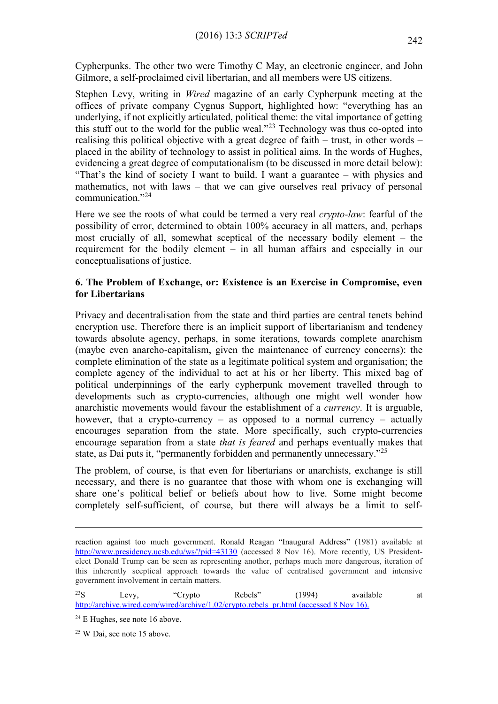Cypherpunks. The other two were Timothy C May, an electronic engineer, and John Gilmore, a self-proclaimed civil libertarian, and all members were US citizens.

Stephen Levy, writing in *Wired* magazine of an early Cypherpunk meeting at the offices of private company Cygnus Support, highlighted how: "everything has an underlying, if not explicitly articulated, political theme: the vital importance of getting this stuff out to the world for the public weal."<sup>23</sup> Technology was thus co-opted into realising this political objective with a great degree of faith – trust, in other words – placed in the ability of technology to assist in political aims. In the words of Hughes, evidencing a great degree of computationalism (to be discussed in more detail below): "That's the kind of society I want to build. I want a guarantee – with physics and mathematics, not with laws – that we can give ourselves real privacy of personal communication."<sup>24</sup>

Here we see the roots of what could be termed a very real *crypto-law*: fearful of the possibility of error, determined to obtain 100% accuracy in all matters, and, perhaps most crucially of all, somewhat sceptical of the necessary bodily element – the requirement for the bodily element – in all human affairs and especially in our conceptualisations of justice.

## **6. The Problem of Exchange, or: Existence is an Exercise in Compromise, even for Libertarians**

Privacy and decentralisation from the state and third parties are central tenets behind encryption use. Therefore there is an implicit support of libertarianism and tendency towards absolute agency, perhaps, in some iterations, towards complete anarchism (maybe even anarcho-capitalism, given the maintenance of currency concerns): the complete elimination of the state as a legitimate political system and organisation; the complete agency of the individual to act at his or her liberty. This mixed bag of political underpinnings of the early cypherpunk movement travelled through to developments such as crypto-currencies, although one might well wonder how anarchistic movements would favour the establishment of a *currency*. It is arguable, however, that a crypto-currency – as opposed to a normal currency – actually encourages separation from the state. More specifically, such crypto-currencies encourage separation from a state *that is feared* and perhaps eventually makes that state, as Dai puts it, "permanently forbidden and permanently unnecessary."<sup>25</sup>

The problem, of course, is that even for libertarians or anarchists, exchange is still necessary, and there is no guarantee that those with whom one is exchanging will share one's political belief or beliefs about how to live. Some might become completely self-sufficient, of course, but there will always be a limit to self-

 $23S$  Levy, "Crypto Rebels" (1994) available at [http://archive.wired.com/wired/archive/1.02/crypto.rebels\\_pr.html](http://archive.wired.com/wired/archive/1.02/crypto.rebels_pr.html) (accessed 8 Nov 16).

 $24$  E Hughes, see note 16 above.

<sup>25</sup> W Dai, see note 15 above.

reaction against too much government. Ronald Reagan "Inaugural Address" (1981) available at <http://www.presidency.ucsb.edu/ws/?pid=43130> (accessed 8 Nov 16). More recently, US Presidentelect Donald Trump can be seen as representing another, perhaps much more dangerous, iteration of this inherently sceptical approach towards the value of centralised government and intensive government involvement in certain matters.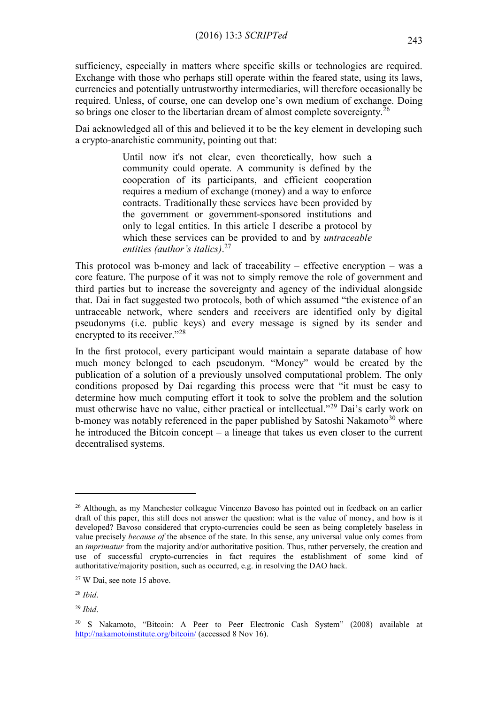sufficiency, especially in matters where specific skills or technologies are required. Exchange with those who perhaps still operate within the feared state, using its laws, currencies and potentially untrustworthy intermediaries, will therefore occasionally be required. Unless, of course, one can develop one's own medium of exchange. Doing so brings one closer to the libertarian dream of almost complete sovereignty.<sup>26</sup>

Dai acknowledged all of this and believed it to be the key element in developing such a crypto-anarchistic community, pointing out that:

> Until now it's not clear, even theoretically, how such a community could operate. A community is defined by the cooperation of its participants, and efficient cooperation requires a medium of exchange (money) and a way to enforce contracts. Traditionally these services have been provided by the government or government-sponsored institutions and only to legal entities. In this article I describe a protocol by which these services can be provided to and by *untraceable entities (author's italics)*. 27

This protocol was b-money and lack of traceability – effective encryption – was a core feature. The purpose of it was not to simply remove the role of government and third parties but to increase the sovereignty and agency of the individual alongside that. Dai in fact suggested two protocols, both of which assumed "the existence of an untraceable network, where senders and receivers are identified only by digital pseudonyms (i.e. public keys) and every message is signed by its sender and encrypted to its receiver."<sup>28</sup>

In the first protocol, every participant would maintain a separate database of how much money belonged to each pseudonym. "Money" would be created by the publication of a solution of a previously unsolved computational problem. The only conditions proposed by Dai regarding this process were that "it must be easy to determine how much computing effort it took to solve the problem and the solution must otherwise have no value, either practical or intellectual."<sup>29</sup> Dai's early work on b-money was notably referenced in the paper published by Satoshi Nakamoto<sup>30</sup> where he introduced the Bitcoin concept – a lineage that takes us even closer to the current decentralised systems.

<sup>&</sup>lt;sup>26</sup> Although, as my Manchester colleague Vincenzo Bavoso has pointed out in feedback on an earlier draft of this paper, this still does not answer the question: what is the value of money, and how is it developed? Bavoso considered that crypto-currencies could be seen as being completely baseless in value precisely *because of* the absence of the state. In this sense, any universal value only comes from an *imprimatur* from the majority and/or authoritative position. Thus, rather perversely, the creation and use of successful crypto-currencies in fact requires the establishment of some kind of authoritative/majority position, such as occurred, e.g. in resolving the DAO hack.

<sup>27</sup> W Dai, see note 15 above.

<sup>28</sup> *Ibid*.

<sup>29</sup> *Ibid*.

<sup>30</sup> S Nakamoto, "Bitcoin: A Peer to Peer Electronic Cash System" (2008) available at <http://nakamotoinstitute.org/bitcoin/> (accessed 8 Nov 16).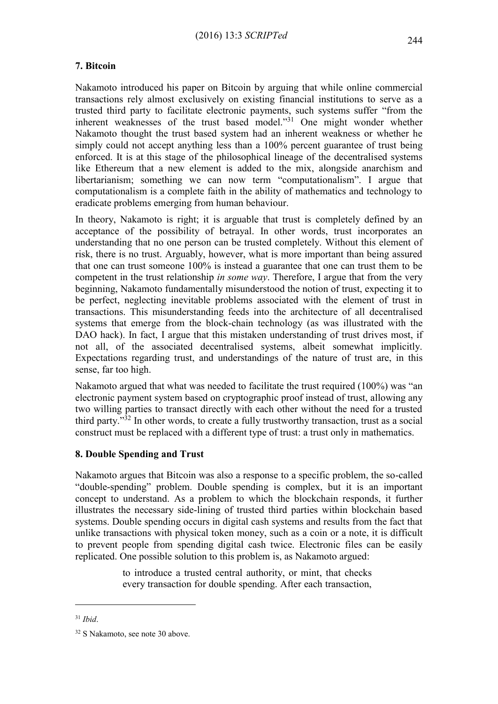# **7. Bitcoin**

Nakamoto introduced his paper on Bitcoin by arguing that while online commercial transactions rely almost exclusively on existing financial institutions to serve as a trusted third party to facilitate electronic payments, such systems suffer "from the inherent weaknesses of the trust based model."<sup>31</sup> One might wonder whether Nakamoto thought the trust based system had an inherent weakness or whether he simply could not accept anything less than a 100% percent guarantee of trust being enforced. It is at this stage of the philosophical lineage of the decentralised systems like Ethereum that a new element is added to the mix, alongside anarchism and libertarianism; something we can now term "computationalism". I argue that computationalism is a complete faith in the ability of mathematics and technology to eradicate problems emerging from human behaviour.

In theory, Nakamoto is right; it is arguable that trust is completely defined by an acceptance of the possibility of betrayal. In other words, trust incorporates an understanding that no one person can be trusted completely. Without this element of risk, there is no trust. Arguably, however, what is more important than being assured that one can trust someone 100% is instead a guarantee that one can trust them to be competent in the trust relationship *in some way*. Therefore, I argue that from the very beginning, Nakamoto fundamentally misunderstood the notion of trust, expecting it to be perfect, neglecting inevitable problems associated with the element of trust in transactions. This misunderstanding feeds into the architecture of all decentralised systems that emerge from the block-chain technology (as was illustrated with the DAO hack). In fact, I argue that this mistaken understanding of trust drives most, if not all, of the associated decentralised systems, albeit somewhat implicitly. Expectations regarding trust, and understandings of the nature of trust are, in this sense, far too high.

Nakamoto argued that what was needed to facilitate the trust required (100%) was "an electronic payment system based on cryptographic proof instead of trust, allowing any two willing parties to transact directly with each other without the need for a trusted third party."<sup>32</sup> In other words, to create a fully trustworthy transaction, trust as a social construct must be replaced with a different type of trust: a trust only in mathematics.

# **8. Double Spending and Trust**

Nakamoto argues that Bitcoin was also a response to a specific problem, the so-called "double-spending" problem. Double spending is complex, but it is an important concept to understand. As a problem to which the blockchain responds, it further illustrates the necessary side-lining of trusted third parties within blockchain based systems. Double spending occurs in digital cash systems and results from the fact that unlike transactions with physical token money, such as a coin or a note, it is difficult to prevent people from spending digital cash twice. Electronic files can be easily replicated. One possible solution to this problem is, as Nakamoto argued:

> to introduce a trusted central authority, or mint, that checks every transaction for double spending. After each transaction,

<sup>31</sup> *Ibid*.

<sup>32</sup> S Nakamoto, see note 30 above.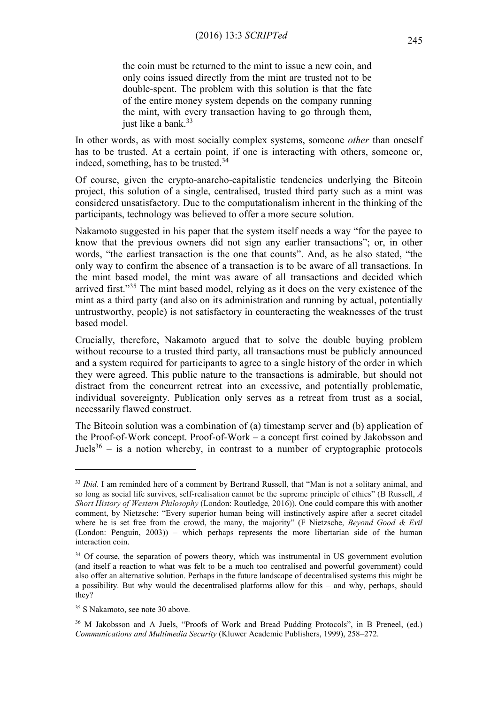the coin must be returned to the mint to issue a new coin, and only coins issued directly from the mint are trusted not to be double-spent. The problem with this solution is that the fate of the entire money system depends on the company running the mint, with every transaction having to go through them, just like a bank.<sup>33</sup>

In other words, as with most socially complex systems, someone *other* than oneself has to be trusted. At a certain point, if one is interacting with others, someone or, indeed, something, has to be trusted.<sup>34</sup>

Of course, given the crypto-anarcho-capitalistic tendencies underlying the Bitcoin project, this solution of a single, centralised, trusted third party such as a mint was considered unsatisfactory. Due to the computationalism inherent in the thinking of the participants, technology was believed to offer a more secure solution.

Nakamoto suggested in his paper that the system itself needs a way "for the payee to know that the previous owners did not sign any earlier transactions"; or, in other words, "the earliest transaction is the one that counts". And, as he also stated, "the only way to confirm the absence of a transaction is to be aware of all transactions. In the mint based model, the mint was aware of all transactions and decided which arrived first."<sup>35</sup> The mint based model, relying as it does on the very existence of the mint as a third party (and also on its administration and running by actual, potentially untrustworthy, people) is not satisfactory in counteracting the weaknesses of the trust based model.

Crucially, therefore, Nakamoto argued that to solve the double buying problem without recourse to a trusted third party, all transactions must be publicly announced and a system required for participants to agree to a single history of the order in which they were agreed. This public nature to the transactions is admirable, but should not distract from the concurrent retreat into an excessive, and potentially problematic, individual sovereignty. Publication only serves as a retreat from trust as a social, necessarily flawed construct.

The Bitcoin solution was a combination of (a) timestamp server and (b) application of the Proof-of-Work concept. Proof-of-Work – a concept first coined by Jakobsson and Juels<sup>36</sup> – is a notion whereby, in contrast to a number of cryptographic protocols

<sup>&</sup>lt;sup>33</sup> *Ibid*. I am reminded here of a comment by Bertrand Russell, that "Man is not a solitary animal, and so long as social life survives, self-realisation cannot be the supreme principle of ethics" (B Russell, *A Short History of Western Philosophy* (London: Routledge*,* 2016)). One could compare this with another comment, by Nietzsche: "Every superior human being will instinctively aspire after a secret citadel where he is set free from the crowd, the many, the majority" (F Nietzsche, *Beyond Good & Evil* (London: Penguin, 2003)) – which perhaps represents the more libertarian side of the human interaction coin.

<sup>&</sup>lt;sup>34</sup> Of course, the separation of powers theory, which was instrumental in US government evolution (and itself a reaction to what was felt to be a much too centralised and powerful government) could also offer an alternative solution. Perhaps in the future landscape of decentralised systems this might be a possibility. But why would the decentralised platforms allow for this – and why, perhaps, should they?

<sup>35</sup> S Nakamoto, see note 30 above.

<sup>36</sup> M Jakobsson and A Juels, "Proofs of Work and Bread Pudding Protocols", in B Preneel, (ed.) *Communications and Multimedia Security* (Kluwer Academic Publishers, 1999), 258–272.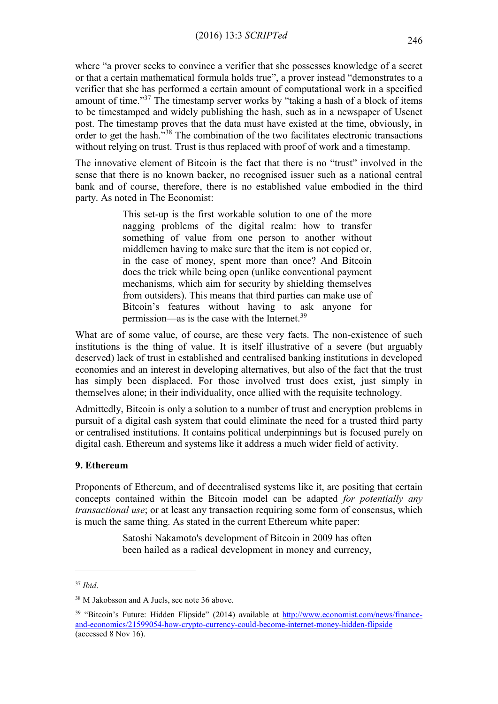where "a prover seeks to convince a verifier that she possesses knowledge of a secret or that a certain mathematical formula holds true", a prover instead "demonstrates to a verifier that she has performed a certain amount of computational work in a specified amount of time."<sup>37</sup> The timestamp server works by "taking a hash of a block of items to be timestamped and widely publishing the hash, such as in a newspaper of Usenet post. The timestamp proves that the data must have existed at the time, obviously, in order to get the hash."<sup>38</sup> The combination of the two facilitates electronic transactions without relying on trust. Trust is thus replaced with proof of work and a timestamp.

The innovative element of Bitcoin is the fact that there is no "trust" involved in the sense that there is no known backer, no recognised issuer such as a national central bank and of course, therefore, there is no established value embodied in the third party. As noted in The Economist:

> This set-up is the first workable solution to one of the more nagging problems of the digital realm: how to transfer something of value from one person to another without middlemen having to make sure that the item is not copied or, in the case of money, spent more than once? And Bitcoin does the trick while being open (unlike conventional payment mechanisms, which aim for security by shielding themselves from outsiders). This means that third parties can make use of Bitcoin's features without having to ask anyone for permission—as is the case with the Internet.<sup>39</sup>

What are of some value, of course, are these very facts. The non-existence of such institutions is the thing of value. It is itself illustrative of a severe (but arguably deserved) lack of trust in established and centralised banking institutions in developed economies and an interest in developing alternatives, but also of the fact that the trust has simply been displaced. For those involved trust does exist, just simply in themselves alone; in their individuality, once allied with the requisite technology.

Admittedly, Bitcoin is only a solution to a number of trust and encryption problems in pursuit of a digital cash system that could eliminate the need for a trusted third party or centralised institutions. It contains political underpinnings but is focused purely on digital cash. Ethereum and systems like it address a much wider field of activity.

#### **9. Ethereum**

Proponents of Ethereum, and of decentralised systems like it, are positing that certain concepts contained within the Bitcoin model can be adapted *for potentially any transactional use*; or at least any transaction requiring some form of consensus, which is much the same thing. As stated in the current Ethereum white paper:

> Satoshi Nakamoto's development of Bitcoin in 2009 has often been hailed as a radical development in money and currency,

<sup>37</sup> *Ibid*.

<sup>38</sup> M Jakobsson and A Juels, see note 36 above.

<sup>&</sup>lt;sup>39</sup> "Bitcoin's Future: Hidden Flipside" (2014) available at [http://www.economist.com/news/finance](http://www.economist.com/news/finance-and-economics/21599054-how-crypto-currency-could-become-internet-money-hidden-flipside)[and-economics/21599054-how-crypto-currency-could-become-internet-money-hidden-flipside](http://www.economist.com/news/finance-and-economics/21599054-how-crypto-currency-could-become-internet-money-hidden-flipside) (accessed 8 Nov 16).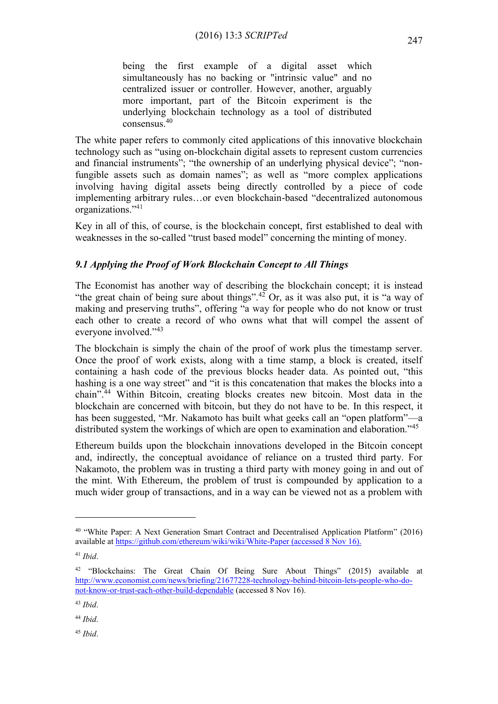being the first example of a digital asset which simultaneously has no backing or ["intrinsic value"](http://bitcoinmagazine.com/8640/an-exploration-of-intrinsic-value-what-it-is-why-bitcoin-doesnt-have-it-and-why-bitcoin-does-have-it/) and no centralized issuer or controller. However, another, arguably more important, part of the Bitcoin experiment is the underlying blockchain technology as a tool of distributed consensus.<sup>40</sup>

The white paper refers to commonly cited applications of this innovative blockchain technology such as "using on-blockchain digital assets to represent custom currencies and financial instruments"; "the ownership of an underlying physical device"; "nonfungible assets such as domain names"; as well as "more complex applications involving having digital assets being directly controlled by a piece of code implementing arbitrary rules…or even blockchain-based "[decentralized autonomous](http://bitcoinmagazine.com/7050/bootstrapping-a-decentralized-autonomous-corporation-part-i/)  [organizations](http://bitcoinmagazine.com/7050/bootstrapping-a-decentralized-autonomous-corporation-part-i/)."<sup>41</sup>

Key in all of this, of course, is the blockchain concept, first established to deal with weaknesses in the so-called "trust based model" concerning the minting of money.

# *9.1 Applying the Proof of Work Blockchain Concept to All Things*

The Economist has another way of describing the blockchain concept; it is instead "the great chain of being sure about things".<sup>42</sup> Or, as it was also put, it is "a way of making and preserving truths", offering "a way for people who do not know or trust each other to create a record of who owns what that will compel the assent of everyone involved."<sup>43</sup>

The blockchain is simply the chain of the proof of work plus the timestamp server. Once the proof of work exists, along with a time stamp, a block is created, itself containing a hash code of the previous blocks header data. As pointed out, "this hashing is a one way street" and "it is this concatenation that makes the blocks into a chain".<sup>44</sup> Within Bitcoin, creating blocks creates new bitcoin. Most data in the blockchain are concerned with bitcoin, but they do not have to be. In this respect, it has been suggested, "Mr. Nakamoto has built what geeks call an "open platform"—a distributed system the workings of which are open to examination and elaboration."<sup>45</sup>

Ethereum builds upon the blockchain innovations developed in the Bitcoin concept and, indirectly, the conceptual avoidance of reliance on a trusted third party. For Nakamoto, the problem was in trusting a third party with money going in and out of the mint. With Ethereum, the problem of trust is compounded by application to a much wider group of transactions, and in a way can be viewed not as a problem with

<u>.</u>

<sup>45</sup> *Ibid*.

<sup>&</sup>lt;sup>40</sup> "White Paper: A Next Generation Smart Contract and Decentralised Application Platform" (2016) available at<https://github.com/ethereum/wiki/wiki/White-Paper> (accessed 8 Nov 16).

<sup>41</sup> *Ibid*.

<sup>&</sup>lt;sup>42</sup> "Blockchains: The Great Chain Of Being Sure About Things" (2015) available at [http://www.economist.com/news/briefing/21677228-technology-behind-bitcoin-lets-people-who-do](http://www.economist.com/news/briefing/21677228-technology-behind-bitcoin-lets-people-who-do-not-know-or-trust-each-other-build-dependable)[not-know-or-trust-each-other-build-dependable](http://www.economist.com/news/briefing/21677228-technology-behind-bitcoin-lets-people-who-do-not-know-or-trust-each-other-build-dependable) (accessed 8 Nov 16).

<sup>43</sup> *Ibid*.

<sup>44</sup> *Ibid*.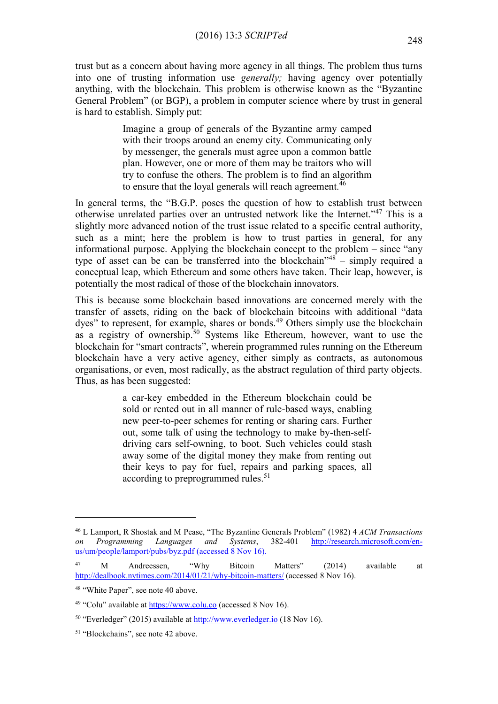trust but as a concern about having more agency in all things. The problem thus turns into one of trusting information use *generally;* having agency over potentially anything, with the blockchain. This problem is otherwise known as the "Byzantine General Problem" (or BGP), a problem in computer science where by trust in general is hard to establish. Simply put:

> Imagine a group of generals of the Byzantine army camped with their troops around an enemy city. Communicating only by messenger, the generals must agree upon a common battle plan. However, one or more of them may be traitors who will try to confuse the others. The problem is to find an algorithm to ensure that the loyal generals will reach agreement.<sup>46</sup>

In general terms, the "B.G.P. poses the question of how to establish trust between otherwise unrelated parties over an untrusted network like the Internet."<sup>47</sup> This is a slightly more advanced notion of the trust issue related to a specific central authority, such as a mint; here the problem is how to trust parties in general, for any informational purpose. Applying the blockchain concept to the problem – since "any type of asset can be can be transferred into the blockchain"<sup>48</sup> – simply required a conceptual leap, which Ethereum and some others have taken. Their leap, however, is potentially the most radical of those of the blockchain innovators.

This is because some blockchain based innovations are concerned merely with the transfer of assets, riding on the back of blockchain bitcoins with additional "data dyes" to represent, for example, shares or bonds.<sup>49</sup> Others simply use the blockchain as a registry of ownership.<sup>50</sup> Systems like Ethereum, however, want to use the blockchain for "smart contracts", wherein programmed rules running on the Ethereum blockchain have a very active agency, either simply as contracts, as autonomous organisations, or even, most radically, as the abstract regulation of third party objects. Thus, as has been suggested:

> a car-key embedded in the Ethereum blockchain could be sold or rented out in all manner of rule-based ways, enabling new peer-to-peer schemes for renting or sharing cars. Further out, some talk of using the technology to make by-then-selfdriving cars self-owning, to boot. Such vehicles could stash away some of the digital money they make from renting out their keys to pay for fuel, repairs and parking spaces, all according to preprogrammed rules.<sup>51</sup>

<sup>46</sup> L Lamport, R Shostak and M Pease, "The Byzantine Generals Problem" (1982) 4 *ACM Transactions on Programming Languages and Systems*, 382-401 [http://research.microsoft.com/en](http://research.microsoft.com/en-us/um/people/lamport/pubs/byz.pdf)[us/um/people/lamport/pubs/byz.pdf](http://research.microsoft.com/en-us/um/people/lamport/pubs/byz.pdf) (accessed 8 Nov 16).

<sup>47</sup> M Andreessen, "Why Bitcoin Matters" (2014) available at <http://dealbook.nytimes.com/2014/01/21/why-bitcoin-matters/> (accessed 8 Nov 16).

<sup>48</sup> "White Paper", see note 40 above.

<sup>49</sup> "Colu" available at [https://www.colu.co](https://www.colu.co/) (accessed 8 Nov 16).

<sup>50</sup> "Everledger" (2015) available at [http://www.everledger.io](http://www.everledger.io/) (18 Nov 16).

<sup>51</sup> "Blockchains", see note 42 above.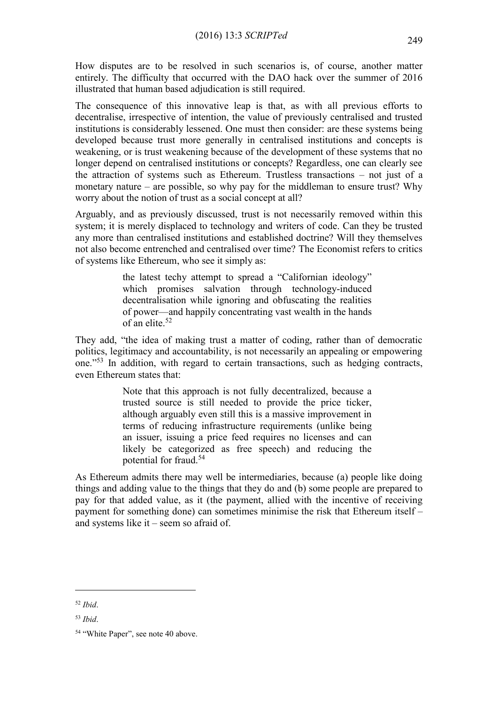How disputes are to be resolved in such scenarios is, of course, another matter entirely. The difficulty that occurred with the DAO hack over the summer of 2016 illustrated that human based adjudication is still required.

The consequence of this innovative leap is that, as with all previous efforts to decentralise, irrespective of intention, the value of previously centralised and trusted institutions is considerably lessened. One must then consider: are these systems being developed because trust more generally in centralised institutions and concepts is weakening, or is trust weakening because of the development of these systems that no longer depend on centralised institutions or concepts? Regardless, one can clearly see the attraction of systems such as Ethereum. Trustless transactions – not just of a monetary nature – are possible, so why pay for the middleman to ensure trust? Why worry about the notion of trust as a social concept at all?

Arguably, and as previously discussed, trust is not necessarily removed within this system; it is merely displaced to technology and writers of code. Can they be trusted any more than centralised institutions and established doctrine? Will they themselves not also become entrenched and centralised over time? The Economist refers to critics of systems like Ethereum, who see it simply as:

> the latest techy attempt to spread a "Californian ideology" which promises salvation through technology-induced decentralisation while ignoring and obfuscating the realities of power—and happily concentrating vast wealth in the hands of an elite.<sup>52</sup>

They add, "the idea of making trust a matter of coding, rather than of democratic politics, legitimacy and accountability, is not necessarily an appealing or empowering one."<sup>53</sup> In addition, with regard to certain transactions, such as hedging contracts, even Ethereum states that:

> Note that this approach is not fully decentralized, because a trusted source is still needed to provide the price ticker, although arguably even still this is a massive improvement in terms of reducing infrastructure requirements (unlike being an issuer, issuing a price feed requires no licenses and can likely be categorized as free speech) and reducing the potential for fraud.<sup>54</sup>

As Ethereum admits there may well be intermediaries, because (a) people like doing things and adding value to the things that they do and (b) some people are prepared to pay for that added value, as it (the payment, allied with the incentive of receiving payment for something done) can sometimes minimise the risk that Ethereum itself – and systems like it – seem so afraid of.

<sup>52</sup> *Ibid*.

<sup>53</sup> *Ibid*.

<sup>54</sup> "White Paper", see note 40 above.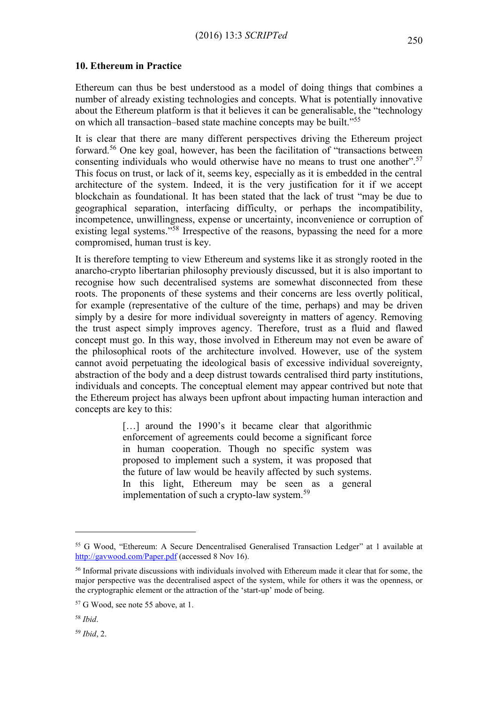Ethereum can thus be best understood as a model of doing things that combines a number of already existing technologies and concepts. What is potentially innovative about the Ethereum platform is that it believes it can be generalisable, the "technology on which all transaction–based state machine concepts may be built."<sup>55</sup>

It is clear that there are many different perspectives driving the Ethereum project forward.<sup>56</sup> One key goal, however, has been the facilitation of "transactions between consenting individuals who would otherwise have no means to trust one another".<sup>57</sup> This focus on trust, or lack of it, seems key, especially as it is embedded in the central architecture of the system. Indeed, it is the very justification for it if we accept blockchain as foundational. It has been stated that the lack of trust "may be due to geographical separation, interfacing difficulty, or perhaps the incompatibility, incompetence, unwillingness, expense or uncertainty, inconvenience or corruption of existing legal systems."<sup>58</sup> Irrespective of the reasons, bypassing the need for a more compromised, human trust is key.

It is therefore tempting to view Ethereum and systems like it as strongly rooted in the anarcho-crypto libertarian philosophy previously discussed, but it is also important to recognise how such decentralised systems are somewhat disconnected from these roots. The proponents of these systems and their concerns are less overtly political, for example (representative of the culture of the time, perhaps) and may be driven simply by a desire for more individual sovereignty in matters of agency. Removing the trust aspect simply improves agency. Therefore, trust as a fluid and flawed concept must go. In this way, those involved in Ethereum may not even be aware of the philosophical roots of the architecture involved. However, use of the system cannot avoid perpetuating the ideological basis of excessive individual sovereignty, abstraction of the body and a deep distrust towards centralised third party institutions, individuals and concepts. The conceptual element may appear contrived but note that the Ethereum project has always been upfront about impacting human interaction and concepts are key to this:

> [...] around the 1990's it became clear that algorithmic enforcement of agreements could become a significant force in human cooperation. Though no specific system was proposed to implement such a system, it was proposed that the future of law would be heavily affected by such systems. In this light, Ethereum may be seen as a general implementation of such a crypto-law system.<sup>59</sup>

<sup>55</sup> G Wood, "Ethereum: A Secure Dencentralised Generalised Transaction Ledger" at 1 available at <http://gavwood.com/Paper.pdf> (accessed 8 Nov 16).

<sup>56</sup> Informal private discussions with individuals involved with Ethereum made it clear that for some, the major perspective was the decentralised aspect of the system, while for others it was the openness, or the cryptographic element or the attraction of the 'start-up' mode of being.

<sup>57</sup> G Wood, see note 55 above, at 1.

<sup>58</sup> *Ibid*.

<sup>59</sup> *Ibid*, 2.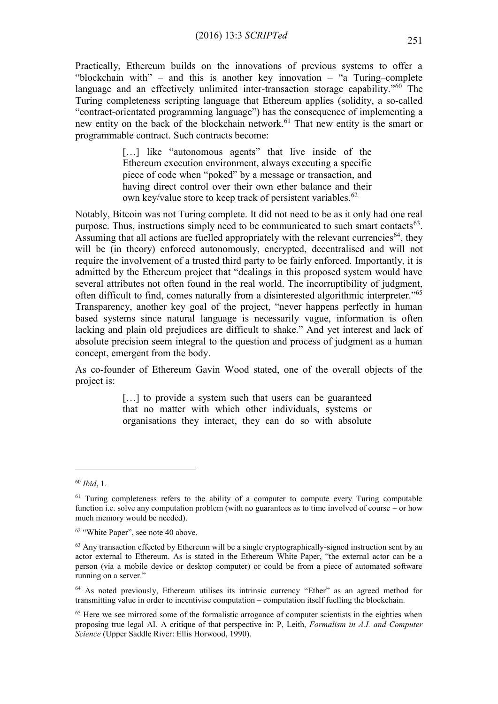Practically, Ethereum builds on the innovations of previous systems to offer a "blockchain with" – and this is another key innovation – "a Turing–complete language and an effectively unlimited inter-transaction storage capability."<sup>60</sup> The Turing completeness scripting language that Ethereum applies (solidity, a so-called "contract-orientated programming language") has the consequence of implementing a new entity on the back of the blockchain network.<sup>61</sup> That new entity is the smart or programmable contract. Such contracts become:

> [...] like "autonomous agents" that live inside of the Ethereum execution environment, always executing a specific piece of code when "poked" by a message or transaction, and having direct control over their own ether balance and their own key/value store to keep track of persistent variables.<sup>62</sup>

Notably, Bitcoin was not Turing complete. It did not need to be as it only had one real purpose. Thus, instructions simply need to be communicated to such smart contacts $^{63}$ . Assuming that all actions are fuelled appropriately with the relevant currencies<sup>64</sup>, they will be (in theory) enforced autonomously, encrypted, decentralised and will not require the involvement of a trusted third party to be fairly enforced. Importantly, it is admitted by the Ethereum project that "dealings in this proposed system would have several attributes not often found in the real world. The incorruptibility of judgment, often difficult to find, comes naturally from a disinterested algorithmic interpreter."<sup>65</sup> Transparency, another key goal of the project, "never happens perfectly in human based systems since natural language is necessarily vague, information is often lacking and plain old prejudices are difficult to shake." And yet interest and lack of absolute precision seem integral to the question and process of judgment as a human concept, emergent from the body.

As co-founder of Ethereum Gavin Wood stated, one of the overall objects of the project is:

> [...] to provide a system such that users can be guaranteed that no matter with which other individuals, systems or organisations they interact, they can do so with absolute

<sup>60</sup> *Ibid*, 1.

<sup>&</sup>lt;sup>61</sup> Turing completeness refers to the ability of a computer to compute every Turing computable function i.e. solve any computation problem (with no guarantees as to time involved of course – or how much memory would be needed).

<sup>62</sup> "White Paper", see note 40 above.

 $63$  Any transaction effected by Ethereum will be a single cryptographically-signed instruction sent by an actor external to Ethereum. As is stated in the Ethereum White Paper, "the external actor can be a person (via a mobile device or desktop computer) or could be from a piece of automated software running on a server."

<sup>&</sup>lt;sup>64</sup> As noted previously, Ethereum utilises its intrinsic currency "Ether" as an agreed method for transmitting value in order to incentivise computation – computation itself fuelling the blockchain.

<sup>&</sup>lt;sup>65</sup> Here we see mirrored some of the formalistic arrogance of computer scientists in the eighties when proposing true legal AI. A critique of that perspective in: P, Leith, *Formalism in A.I. and Computer Science* (Upper Saddle River: Ellis Horwood, 1990).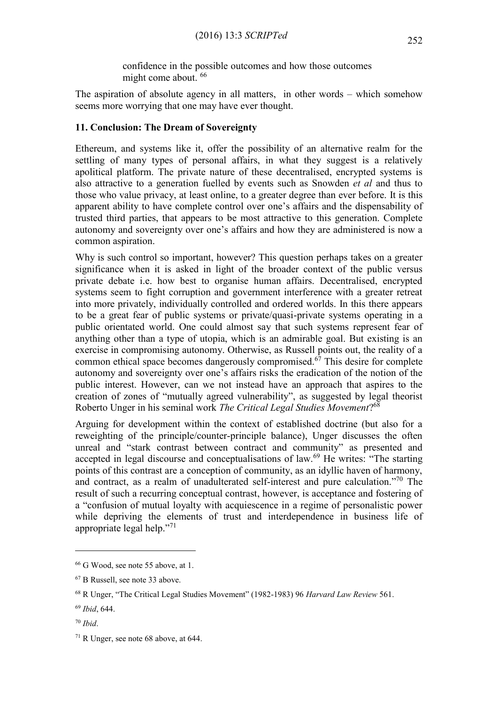confidence in the possible outcomes and how those outcomes might come about. <sup>66</sup>

The aspiration of absolute agency in all matters, in other words – which somehow seems more worrying that one may have ever thought.

#### **11. Conclusion: The Dream of Sovereignty**

Ethereum, and systems like it, offer the possibility of an alternative realm for the settling of many types of personal affairs, in what they suggest is a relatively apolitical platform. The private nature of these decentralised, encrypted systems is also attractive to a generation fuelled by events such as Snowden *et al* and thus to those who value privacy, at least online, to a greater degree than ever before. It is this apparent ability to have complete control over one's affairs and the dispensability of trusted third parties, that appears to be most attractive to this generation. Complete autonomy and sovereignty over one's affairs and how they are administered is now a common aspiration.

Why is such control so important, however? This question perhaps takes on a greater significance when it is asked in light of the broader context of the public versus private debate i.e. how best to organise human affairs. Decentralised, encrypted systems seem to fight corruption and government interference with a greater retreat into more privately, individually controlled and ordered worlds. In this there appears to be a great fear of public systems or private/quasi-private systems operating in a public orientated world. One could almost say that such systems represent fear of anything other than a type of utopia, which is an admirable goal. But existing is an exercise in compromising autonomy. Otherwise, as Russell points out, the reality of a common ethical space becomes dangerously compromised.<sup> $67$ </sup> This desire for complete autonomy and sovereignty over one's affairs risks the eradication of the notion of the public interest. However, can we not instead have an approach that aspires to the creation of zones of "mutually agreed vulnerability", as suggested by legal theorist Roberto Unger in his seminal work *The Critical Legal Studies Movement*? 68

Arguing for development within the context of established doctrine (but also for a reweighting of the principle/counter-principle balance), Unger discusses the often unreal and "stark contrast between contract and community" as presented and accepted in legal discourse and conceptualisations of law.<sup>69</sup> He writes: "The starting points of this contrast are a conception of community, as an idyllic haven of harmony, and contract, as a realm of unadulterated self-interest and pure calculation."<sup>70</sup> The result of such a recurring conceptual contrast, however, is acceptance and fostering of a "confusion of mutual loyalty with acquiescence in a regime of personalistic power while depriving the elements of trust and interdependence in business life of appropriate legal help."<sup>71</sup>

<sup>66</sup> G Wood, see note 55 above, at 1.

<sup>67</sup> B Russell, see note 33 above.

<sup>68</sup> R Unger, "The Critical Legal Studies Movement" (1982-1983) 96 *Harvard Law Review* 561.

<sup>69</sup> *Ibid*, 644.

<sup>70</sup> *Ibid*.

<sup>71</sup> R Unger, see note 68 above, at 644.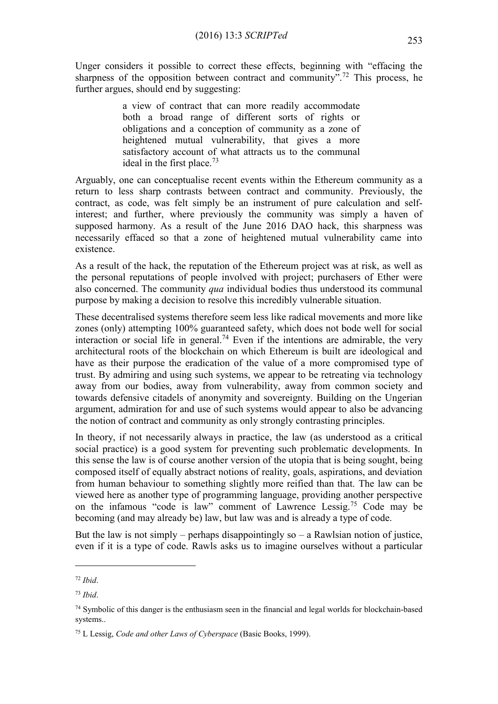Unger considers it possible to correct these effects, beginning with "effacing the sharpness of the opposition between contract and community".<sup>72</sup> This process, he further argues, should end by suggesting:

> a view of contract that can more readily accommodate both a broad range of different sorts of rights or obligations and a conception of community as a zone of heightened mutual vulnerability, that gives a more satisfactory account of what attracts us to the communal ideal in the first place.<sup>73</sup>

Arguably, one can conceptualise recent events within the Ethereum community as a return to less sharp contrasts between contract and community. Previously, the contract, as code, was felt simply be an instrument of pure calculation and selfinterest; and further, where previously the community was simply a haven of supposed harmony. As a result of the June 2016 DAO hack, this sharpness was necessarily effaced so that a zone of heightened mutual vulnerability came into existence.

As a result of the hack, the reputation of the Ethereum project was at risk, as well as the personal reputations of people involved with project; purchasers of Ether were also concerned. The community *qua* individual bodies thus understood its communal purpose by making a decision to resolve this incredibly vulnerable situation.

These decentralised systems therefore seem less like radical movements and more like zones (only) attempting 100% guaranteed safety, which does not bode well for social interaction or social life in general.<sup>74</sup> Even if the intentions are admirable, the very architectural roots of the blockchain on which Ethereum is built are ideological and have as their purpose the eradication of the value of a more compromised type of trust. By admiring and using such systems, we appear to be retreating via technology away from our bodies, away from vulnerability, away from common society and towards defensive citadels of anonymity and sovereignty. Building on the Ungerian argument, admiration for and use of such systems would appear to also be advancing the notion of contract and community as only strongly contrasting principles.

In theory, if not necessarily always in practice, the law (as understood as a critical social practice) is a good system for preventing such problematic developments. In this sense the law is of course another version of the utopia that is being sought, being composed itself of equally abstract notions of reality, goals, aspirations, and deviation from human behaviour to something slightly more reified than that. The law can be viewed here as another type of programming language, providing another perspective on the infamous "code is law" comment of Lawrence Lessig.<sup>75</sup> Code may be becoming (and may already be) law, but law was and is already a type of code.

But the law is not simply – perhaps disappointingly so – a Rawlsian notion of justice, even if it is a type of code. Rawls asks us to imagine ourselves without a particular

<sup>72</sup> *Ibid*.

<sup>73</sup> *Ibid*.

 $74$  Symbolic of this danger is the enthusiasm seen in the financial and legal worlds for blockchain-based systems..

<sup>75</sup> L Lessig, *Code and other Laws of Cyberspace* (Basic Books, 1999).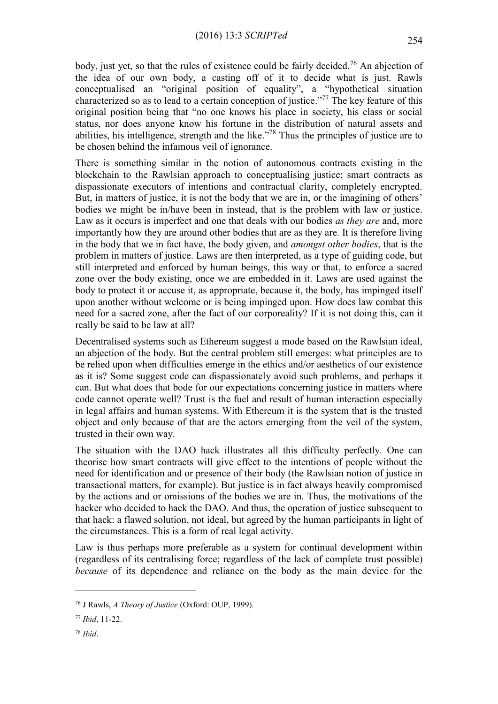body, just yet, so that the rules of existence could be fairly decided.<sup>76</sup> An abjection of the idea of our own body, a casting off of it to decide what is just. Rawls conceptualised an "original position of equality", a "hypothetical situation characterized so as to lead to a certain conception of justice."<sup>77</sup> The key feature of this original position being that "no one knows his place in society, his class or social status, nor does anyone know his fortune in the distribution of natural assets and abilities, his intelligence, strength and the like."<sup>78</sup> Thus the principles of justice are to be chosen behind the infamous veil of ignorance.

There is something similar in the notion of autonomous contracts existing in the blockchain to the Rawlsian approach to conceptualising justice; smart contracts as dispassionate executors of intentions and contractual clarity, completely encrypted. But, in matters of justice, it is not the body that we are in, or the imagining of others' bodies we might be in/have been in instead, that is the problem with law or justice. Law as it occurs is imperfect and one that deals with our bodies *as they are* and, more importantly how they are around other bodies that are as they are. It is therefore living in the body that we in fact have, the body given, and *amongst other bodies*, that is the problem in matters of justice. Laws are then interpreted, as a type of guiding code, but still interpreted and enforced by human beings, this way or that, to enforce a sacred zone over the body existing, once we are embedded in it. Laws are used against the body to protect it or accuse it, as appropriate, because it, the body, has impinged itself upon another without welcome or is being impinged upon. How does law combat this need for a sacred zone, after the fact of our corporeality? If it is not doing this, can it really be said to be law at all?

Decentralised systems such as Ethereum suggest a mode based on the Rawlsian ideal, an abjection of the body. But the central problem still emerges: what principles are to be relied upon when difficulties emerge in the ethics and/or aesthetics of our existence as it is? Some suggest code can dispassionately avoid such problems, and perhaps it can. But what does that bode for our expectations concerning justice in matters where code cannot operate well? Trust is the fuel and result of human interaction especially in legal affairs and human systems. With Ethereum it is the system that is the trusted object and only because of that are the actors emerging from the veil of the system, trusted in their own way.

The situation with the DAO hack illustrates all this difficulty perfectly. One can theorise how smart contracts will give effect to the intentions of people without the need for identification and or presence of their body (the Rawlsian notion of justice in transactional matters, for example). But justice is in fact always heavily compromised by the actions and or omissions of the bodies we are in. Thus, the motivations of the hacker who decided to hack the DAO. And thus, the operation of justice subsequent to that hack: a flawed solution, not ideal, but agreed by the human participants in light of the circumstances. This is a form of real legal activity.

Law is thus perhaps more preferable as a system for continual development within (regardless of its centralising force; regardless of the lack of complete trust possible) *because* of its dependence and reliance on the body as the main device for the

<sup>76</sup> J Rawls, *A Theory of Justice* (Oxford: OUP, 1999).

<sup>77</sup> *Ibid*, 11-22.

<sup>78</sup> *Ibid*.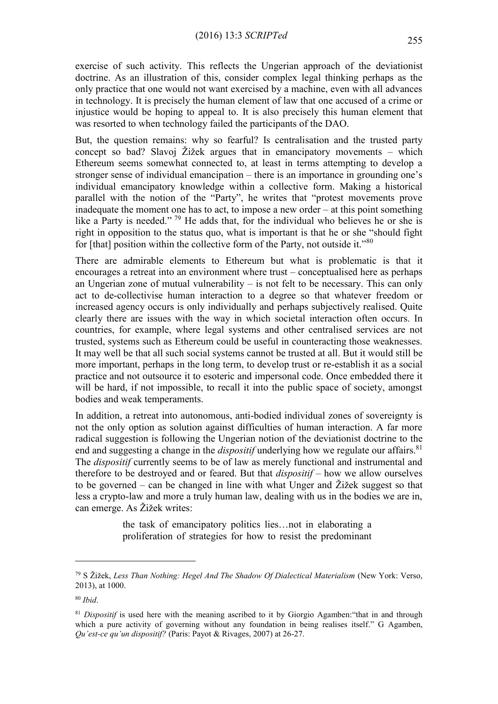exercise of such activity. This reflects the Ungerian approach of the deviationist doctrine. As an illustration of this, consider complex legal thinking perhaps as the only practice that one would not want exercised by a machine, even with all advances in technology. It is precisely the human element of law that one accused of a crime or injustice would be hoping to appeal to. It is also precisely this human element that was resorted to when technology failed the participants of the DAO.

But, the question remains: why so fearful? Is centralisation and the trusted party concept so bad? Slavoj Žižek argues that in emancipatory movements – which Ethereum seems somewhat connected to, at least in terms attempting to develop a stronger sense of individual emancipation – there is an importance in grounding one's individual emancipatory knowledge within a collective form. Making a historical parallel with the notion of the "Party", he writes that "protest movements prove inadequate the moment one has to act, to impose a new order – at this point something like a Party is needed."<sup>79</sup> He adds that, for the individual who believes he or she is right in opposition to the status quo, what is important is that he or she "should fight for [that] position within the collective form of the Party, not outside it."<sup>80</sup>

There are admirable elements to Ethereum but what is problematic is that it encourages a retreat into an environment where trust – conceptualised here as perhaps an Ungerian zone of mutual vulnerability  $-$  is not felt to be necessary. This can only act to de-collectivise human interaction to a degree so that whatever freedom or increased agency occurs is only individually and perhaps subjectively realised. Quite clearly there are issues with the way in which societal interaction often occurs. In countries, for example, where legal systems and other centralised services are not trusted, systems such as Ethereum could be useful in counteracting those weaknesses. It may well be that all such social systems cannot be trusted at all. But it would still be more important, perhaps in the long term, to develop trust or re-establish it as a social practice and not outsource it to esoteric and impersonal code. Once embedded there it will be hard, if not impossible, to recall it into the public space of society, amongst bodies and weak temperaments.

In addition, a retreat into autonomous, anti-bodied individual zones of sovereignty is not the only option as solution against difficulties of human interaction. A far more radical suggestion is following the Ungerian notion of the deviationist doctrine to the end and suggesting a change in the *dispositif* underlying how we regulate our affairs.<sup>81</sup> The *dispositif* currently seems to be of law as merely functional and instrumental and therefore to be destroyed and or feared. But that *dispositif* – how we allow ourselves to be governed – can be changed in line with what Unger and Žižek suggest so that less a crypto-law and more a truly human law, dealing with us in the bodies we are in, can emerge. As Žižek writes:

> the task of emancipatory politics lies…not in elaborating a proliferation of strategies for how to resist the predominant

<sup>79</sup> S Žižek, *Less Than Nothing: Hegel And The Shadow Of Dialectical Materialism* (New York: Verso, 2013), at 1000.

<sup>80</sup> *Ibid*.

<sup>&</sup>lt;sup>81</sup> *Dispositif* is used here with the meaning ascribed to it by Giorgio Agamben: "that in and through which a pure activity of governing without any foundation in being realises itself." G Agamben, *Qu'est-ce qu'un dispositif?* (Paris: Payot & Rivages, 2007) at 26-27.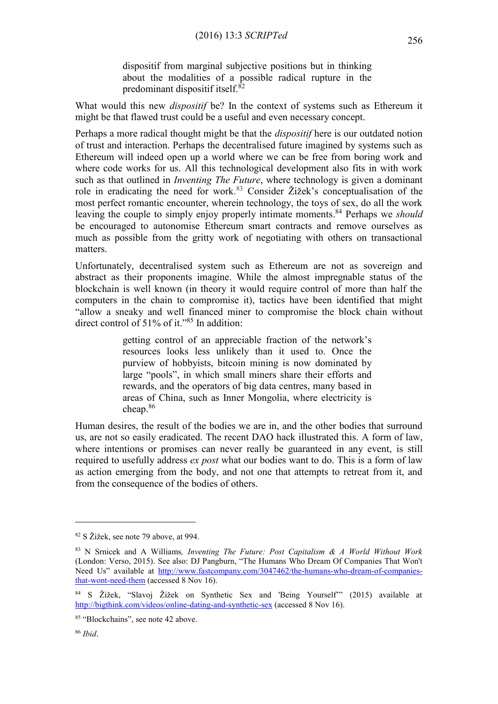dispositif from marginal subjective positions but in thinking about the modalities of a possible radical rupture in the predominant dispositif itself.<sup>82</sup>

What would this new *dispositif* be? In the context of systems such as Ethereum it might be that flawed trust could be a useful and even necessary concept.

Perhaps a more radical thought might be that the *dispositif* here is our outdated notion of trust and interaction. Perhaps the decentralised future imagined by systems such as Ethereum will indeed open up a world where we can be free from boring work and where code works for us. All this technological development also fits in with work such as that outlined in *Inventing The Future*, where technology is given a dominant role in eradicating the need for work. <sup>83</sup> Consider Žižek's conceptualisation of the most perfect romantic encounter, wherein technology, the toys of sex, do all the work leaving the couple to simply enjoy properly intimate moments. <sup>84</sup> Perhaps we *should* be encouraged to autonomise Ethereum smart contracts and remove ourselves as much as possible from the gritty work of negotiating with others on transactional matters.

Unfortunately, decentralised system such as Ethereum are not as sovereign and abstract as their proponents imagine. While the almost impregnable status of the blockchain is well known (in theory it would require control of more than half the computers in the chain to compromise it), tactics have been identified that might "allow a sneaky and well financed miner to compromise the block chain without direct control of 51% of it."<sup>85</sup> In addition:

> getting control of an appreciable fraction of the network's resources looks less unlikely than it used to. Once the purview of hobbyists, bitcoin mining is now dominated by large "pools", in which small miners share their efforts and rewards, and the operators of big data centres, many based in areas of China, such as Inner Mongolia, where electricity is cheap.<sup>86</sup>

Human desires, the result of the bodies we are in, and the other bodies that surround us, are not so easily eradicated. The recent DAO hack illustrated this. A form of law, where intentions or promises can never really be guaranteed in any event, is still required to usefully address *ex post* what our bodies want to do. This is a form of law as action emerging from the body, and not one that attempts to retreat from it, and from the consequence of the bodies of others.

<sup>82</sup> S Žižek, see note 79 above, at 994.

<sup>83</sup> N Srnicek and A Williams*, Inventing The Future: Post Capitalism & A World Without Work* (London: Verso, 2015). See also: DJ Pangburn, "The Humans Who Dream Of Companies That Won't Need Us" available at [http://www.fastcompany.com/3047462/the-humans-who-dream-of-companies](http://www.fastcompany.com/3047462/the-humans-who-dream-of-companies-that-wont-need-them)[that-wont-need-them](http://www.fastcompany.com/3047462/the-humans-who-dream-of-companies-that-wont-need-them) (accessed 8 Nov 16).

<sup>84</sup> S Žižek, "Slavoj Žižek on Synthetic Sex and 'Being Yourself'" (2015) available at <http://bigthink.com/videos/online-dating-and-synthetic-sex> (accessed 8 Nov 16).

<sup>&</sup>lt;sup>85</sup> "Blockchains", see note 42 above.

<sup>86</sup> *Ibid*.